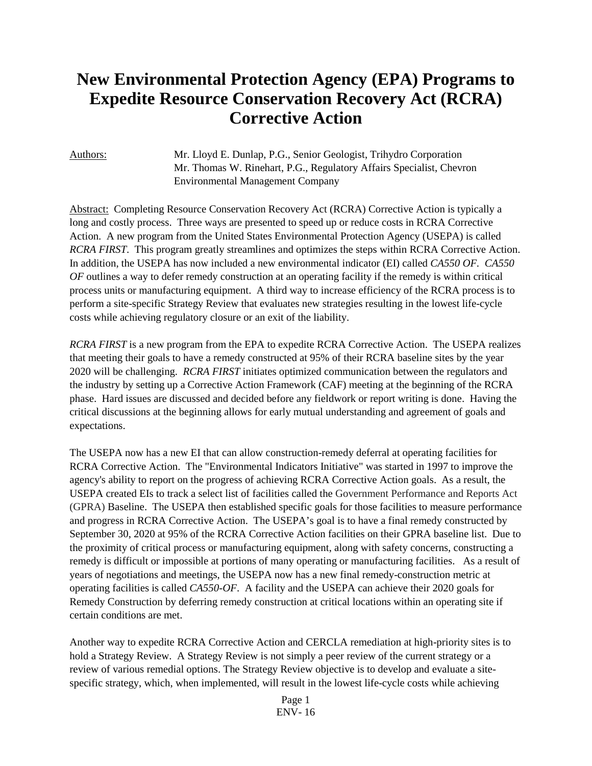# **New Environmental Protection Agency (EPA) Programs to Expedite Resource Conservation Recovery Act (RCRA) Corrective Action**

Authors: Mr. Lloyd E. Dunlap, P.G., Senior Geologist, Trihydro Corporation Mr. Thomas W. Rinehart, P.G., Regulatory Affairs Specialist, Chevron Environmental Management Company

Abstract: Completing Resource Conservation Recovery Act (RCRA) Corrective Action is typically a long and costly process. Three ways are presented to speed up or reduce costs in RCRA Corrective Action. A new program from the United States Environmental Protection Agency (USEPA) is called *RCRA FIRST*. This program greatly streamlines and optimizes the steps within RCRA Corrective Action. In addition, the USEPA has now included a new environmental indicator (EI) called *CA550 OF. CA550 OF* outlines a way to defer remedy construction at an operating facility if the remedy is within critical process units or manufacturing equipment. A third way to increase efficiency of the RCRA process is to perform a site-specific Strategy Review that evaluates new strategies resulting in the lowest life-cycle costs while achieving regulatory closure or an exit of the liability.

*RCRA FIRST* is a new program from the EPA to expedite RCRA Corrective Action. The USEPA realizes that meeting their goals to have a remedy constructed at 95% of their RCRA baseline sites by the year 2020 will be challenging. *RCRA FIRST* initiates optimized communication between the regulators and the industry by setting up a Corrective Action Framework (CAF) meeting at the beginning of the RCRA phase. Hard issues are discussed and decided before any fieldwork or report writing is done. Having the critical discussions at the beginning allows for early mutual understanding and agreement of goals and expectations.

The USEPA now has a new EI that can allow construction-remedy deferral at operating facilities for RCRA Corrective Action. The "Environmental Indicators Initiative" was started in 1997 to improve the agency's ability to report on the progress of achieving RCRA Corrective Action goals. As a result, the USEPA created EIs to track a select list of facilities called the Government Performance and Reports Act (GPRA) Baseline. The USEPA then established specific goals for those facilities to measure performance and progress in RCRA Corrective Action. The USEPA's goal is to have a final remedy constructed by September 30, 2020 at 95% of the RCRA Corrective Action facilities on their GPRA baseline list. Due to the proximity of critical process or manufacturing equipment, along with safety concerns, constructing a remedy is difficult or impossible at portions of many operating or manufacturing facilities. As a result of years of negotiations and meetings, the USEPA now has a new final remedy-construction metric at operating facilities is called *CA550-OF*. A facility and the USEPA can achieve their 2020 goals for Remedy Construction by deferring remedy construction at critical locations within an operating site if certain conditions are met.

Another way to expedite RCRA Corrective Action and CERCLA remediation at high-priority sites is to hold a Strategy Review. A Strategy Review is not simply a peer review of the current strategy or a review of various remedial options. The Strategy Review objective is to develop and evaluate a sitespecific strategy, which, when implemented, will result in the lowest life-cycle costs while achieving

> Page 1 ENV- 16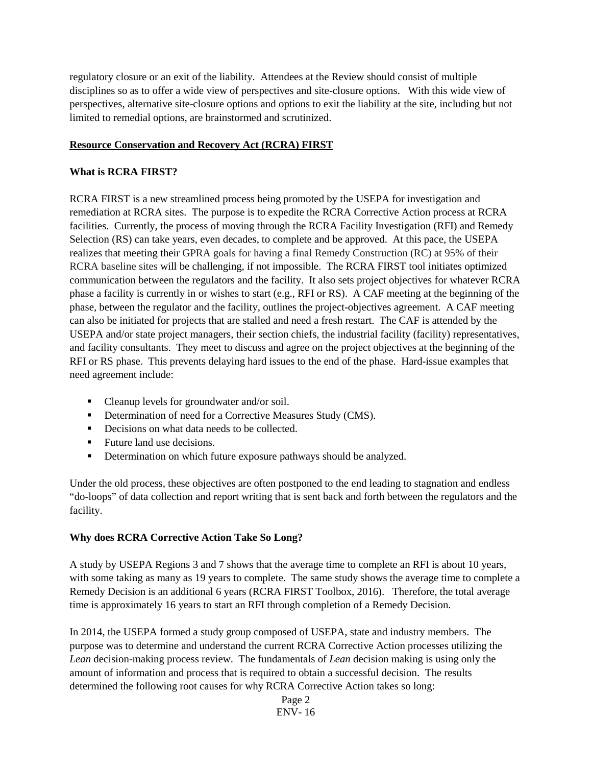regulatory closure or an exit of the liability. Attendees at the Review should consist of multiple disciplines so as to offer a wide view of perspectives and site-closure options. With this wide view of perspectives, alternative site-closure options and options to exit the liability at the site, including but not limited to remedial options, are brainstormed and scrutinized.

#### **Resource Conservation and Recovery Act (RCRA) FIRST**

#### **What is RCRA FIRST?**

RCRA FIRST is a new streamlined process being promoted by the USEPA for investigation and remediation at RCRA sites. The purpose is to expedite the RCRA Corrective Action process at RCRA facilities. Currently, the process of moving through the RCRA Facility Investigation (RFI) and Remedy Selection (RS) can take years, even decades, to complete and be approved. At this pace, the USEPA realizes that meeting their GPRA goals for having a final Remedy Construction (RC) at 95% of their RCRA baseline sites will be challenging, if not impossible. The RCRA FIRST tool initiates optimized communication between the regulators and the facility. It also sets project objectives for whatever RCRA phase a facility is currently in or wishes to start (e.g., RFI or RS). A CAF meeting at the beginning of the phase, between the regulator and the facility, outlines the project-objectives agreement. A CAF meeting can also be initiated for projects that are stalled and need a fresh restart. The CAF is attended by the USEPA and/or state project managers, their section chiefs, the industrial facility (facility) representatives, and facility consultants. They meet to discuss and agree on the project objectives at the beginning of the RFI or RS phase. This prevents delaying hard issues to the end of the phase. Hard-issue examples that need agreement include:

- Cleanup levels for groundwater and/or soil.
- Determination of need for a Corrective Measures Study (CMS).
- Decisions on what data needs to be collected.
- Future land use decisions.
- **•** Determination on which future exposure pathways should be analyzed.

Under the old process, these objectives are often postponed to the end leading to stagnation and endless "do-loops" of data collection and report writing that is sent back and forth between the regulators and the facility.

#### **Why does RCRA Corrective Action Take So Long?**

A study by USEPA Regions 3 and 7 shows that the average time to complete an RFI is about 10 years, with some taking as many as 19 years to complete. The same study shows the average time to complete a Remedy Decision is an additional 6 years (RCRA FIRST Toolbox, 2016). Therefore, the total average time is approximately 16 years to start an RFI through completion of a Remedy Decision.

In 2014, the USEPA formed a study group composed of USEPA, state and industry members. The purpose was to determine and understand the current RCRA Corrective Action processes utilizing the *Lean* decision-making process review. The fundamentals of *Lean* decision making is using only the amount of information and process that is required to obtain a successful decision. The results determined the following root causes for why RCRA Corrective Action takes so long: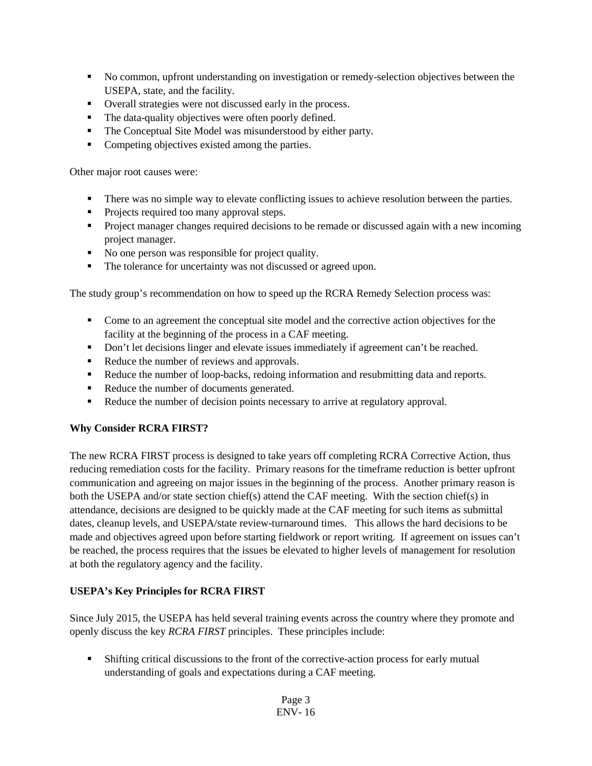- No common, upfront understanding on investigation or remedy-selection objectives between the USEPA, state, and the facility.
- Overall strategies were not discussed early in the process.
- The data-quality objectives were often poorly defined.
- The Conceptual Site Model was misunderstood by either party.
- Competing objectives existed among the parties.

Other major root causes were:

- There was no simple way to elevate conflicting issues to achieve resolution between the parties.
- **Projects required too many approval steps.**
- Project manager changes required decisions to be remade or discussed again with a new incoming project manager.
- No one person was responsible for project quality.
- The tolerance for uncertainty was not discussed or agreed upon.

The study group's recommendation on how to speed up the RCRA Remedy Selection process was:

- Come to an agreement the conceptual site model and the corrective action objectives for the facility at the beginning of the process in a CAF meeting.
- Don't let decisions linger and elevate issues immediately if agreement can't be reached.
- Reduce the number of reviews and approvals.
- Reduce the number of loop-backs, redoing information and resubmitting data and reports.
- Reduce the number of documents generated.
- Reduce the number of decision points necessary to arrive at regulatory approval.

## **Why Consider RCRA FIRST?**

The new RCRA FIRST process is designed to take years off completing RCRA Corrective Action, thus reducing remediation costs for the facility. Primary reasons for the timeframe reduction is better upfront communication and agreeing on major issues in the beginning of the process. Another primary reason is both the USEPA and/or state section chief(s) attend the CAF meeting. With the section chief(s) in attendance, decisions are designed to be quickly made at the CAF meeting for such items as submittal dates, cleanup levels, and USEPA/state review-turnaround times. This allows the hard decisions to be made and objectives agreed upon before starting fieldwork or report writing. If agreement on issues can't be reached, the process requires that the issues be elevated to higher levels of management for resolution at both the regulatory agency and the facility.

## **USEPA's Key Principles for RCRA FIRST**

Since July 2015, the USEPA has held several training events across the country where they promote and openly discuss the key *RCRA FIRST* principles. These principles include:

 Shifting critical discussions to the front of the corrective-action process for early mutual understanding of goals and expectations during a CAF meeting.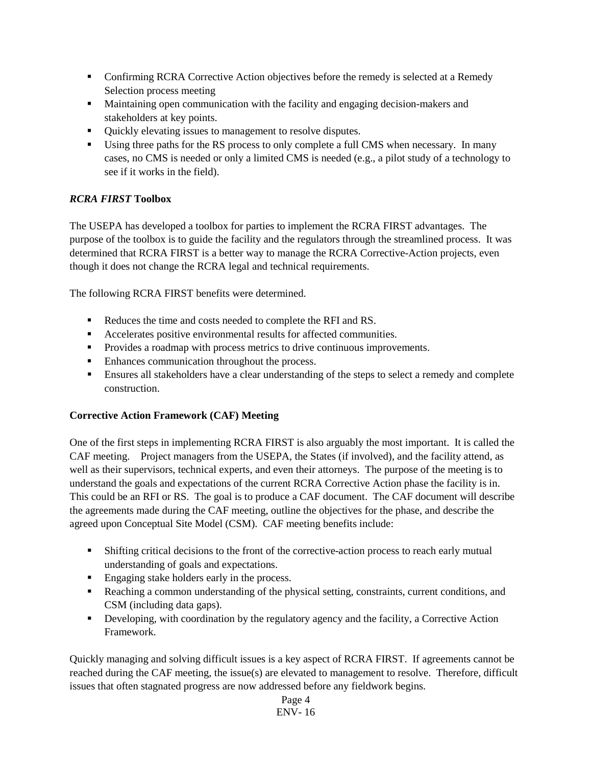- **Confirming RCRA Corrective Action objectives before the remedy is selected at a Remedy** Selection process meeting
- Maintaining open communication with the facility and engaging decision-makers and stakeholders at key points.
- Quickly elevating issues to management to resolve disputes.
- Using three paths for the RS process to only complete a full CMS when necessary. In many cases, no CMS is needed or only a limited CMS is needed (e.g., a pilot study of a technology to see if it works in the field).

# *RCRA FIRST* **Toolbox**

The USEPA has developed a toolbox for parties to implement the RCRA FIRST advantages. The purpose of the toolbox is to guide the facility and the regulators through the streamlined process. It was determined that RCRA FIRST is a better way to manage the RCRA Corrective-Action projects, even though it does not change the RCRA legal and technical requirements.

The following RCRA FIRST benefits were determined.

- Reduces the time and costs needed to complete the RFI and RS.
- Accelerates positive environmental results for affected communities.
- **Provides a roadmap with process metrics to drive continuous improvements.**
- Enhances communication throughout the process.
- Ensures all stakeholders have a clear understanding of the steps to select a remedy and complete construction.

## **Corrective Action Framework (CAF) Meeting**

One of the first steps in implementing RCRA FIRST is also arguably the most important. It is called the CAF meeting. Project managers from the USEPA, the States (if involved), and the facility attend, as well as their supervisors, technical experts, and even their attorneys. The purpose of the meeting is to understand the goals and expectations of the current RCRA Corrective Action phase the facility is in. This could be an RFI or RS. The goal is to produce a CAF document. The CAF document will describe the agreements made during the CAF meeting, outline the objectives for the phase, and describe the agreed upon Conceptual Site Model (CSM). CAF meeting benefits include:

- Shifting critical decisions to the front of the corrective-action process to reach early mutual understanding of goals and expectations.
- **Engaging stake holders early in the process.**
- Reaching a common understanding of the physical setting, constraints, current conditions, and CSM (including data gaps).
- Developing, with coordination by the regulatory agency and the facility, a Corrective Action Framework.

Quickly managing and solving difficult issues is a key aspect of RCRA FIRST. If agreements cannot be reached during the CAF meeting, the issue(s) are elevated to management to resolve. Therefore, difficult issues that often stagnated progress are now addressed before any fieldwork begins.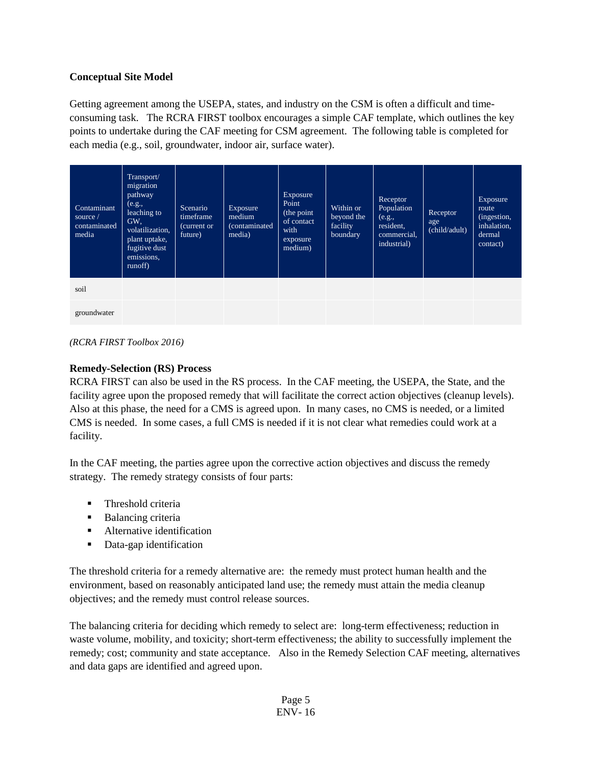# **Conceptual Site Model**

Getting agreement among the USEPA, states, and industry on the CSM is often a difficult and timeconsuming task. The RCRA FIRST toolbox encourages a simple CAF template, which outlines the key points to undertake during the CAF meeting for CSM agreement. The following table is completed for each media (e.g., soil, groundwater, indoor air, surface water).

| Contaminant<br>source $/$<br>contaminated<br>media | Transport/<br>migration<br>pathway<br>(e.g.,<br>leaching to<br>GW,<br>volatilization,<br>plant uptake,<br>fugitive dust<br>emissions,<br>runoff) | Scenario<br>timeframe<br>(current or<br>future) | Exposure<br>medium<br>(contaminated<br>media) | Exposure<br>Point<br>(the point<br>of contact<br>with<br>exposure<br>medium) | Within or<br>beyond the<br>facility<br>boundary | Receptor<br>Population<br>(e.g.,<br>resident.<br>commercial,<br>industrial) | Receptor<br>age<br>(child/adult) | <b>Exposure</b><br>route<br>(ingestion,<br>inhalation,<br>dermal<br>contact) |
|----------------------------------------------------|--------------------------------------------------------------------------------------------------------------------------------------------------|-------------------------------------------------|-----------------------------------------------|------------------------------------------------------------------------------|-------------------------------------------------|-----------------------------------------------------------------------------|----------------------------------|------------------------------------------------------------------------------|
| soil                                               |                                                                                                                                                  |                                                 |                                               |                                                                              |                                                 |                                                                             |                                  |                                                                              |
| groundwater                                        |                                                                                                                                                  |                                                 |                                               |                                                                              |                                                 |                                                                             |                                  |                                                                              |

*(RCRA FIRST Toolbox 2016)*

#### **Remedy-Selection (RS) Process**

RCRA FIRST can also be used in the RS process. In the CAF meeting, the USEPA, the State, and the facility agree upon the proposed remedy that will facilitate the correct action objectives (cleanup levels). Also at this phase, the need for a CMS is agreed upon. In many cases, no CMS is needed, or a limited CMS is needed. In some cases, a full CMS is needed if it is not clear what remedies could work at a facility.

In the CAF meeting, the parties agree upon the corrective action objectives and discuss the remedy strategy. The remedy strategy consists of four parts:

- Threshold criteria
- **Balancing criteria**
- **Alternative identification**
- Data-gap identification

The threshold criteria for a remedy alternative are: the remedy must protect human health and the environment, based on reasonably anticipated land use; the remedy must attain the media cleanup objectives; and the remedy must control release sources.

The balancing criteria for deciding which remedy to select are: long-term effectiveness; reduction in waste volume, mobility, and toxicity; short-term effectiveness; the ability to successfully implement the remedy; cost; community and state acceptance. Also in the Remedy Selection CAF meeting, alternatives and data gaps are identified and agreed upon.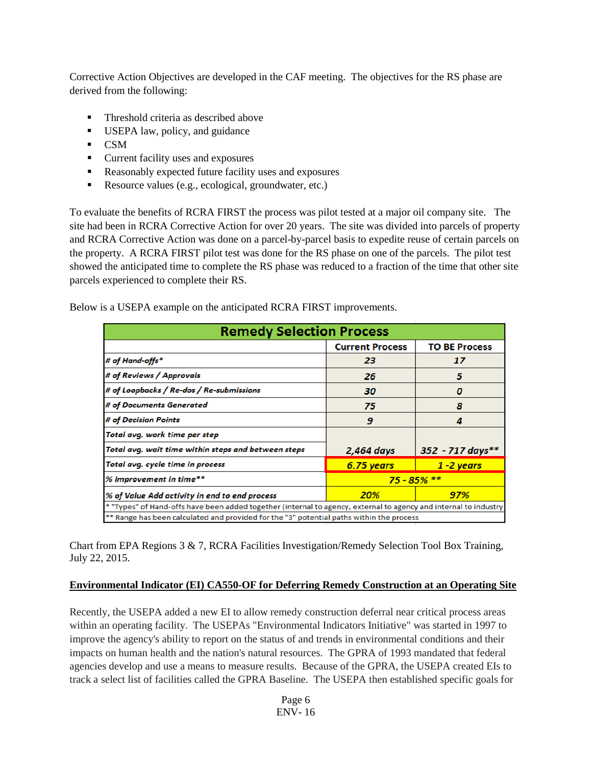Corrective Action Objectives are developed in the CAF meeting. The objectives for the RS phase are derived from the following:

- **Threshold criteria as described above**
- USEPA law, policy, and guidance
- $\overline{\text{CSM}}$
- **•** Current facility uses and exposures
- Reasonably expected future facility uses and exposures
- Resource values (e.g., ecological, groundwater, etc.)

To evaluate the benefits of RCRA FIRST the process was pilot tested at a major oil company site. The site had been in RCRA Corrective Action for over 20 years. The site was divided into parcels of property and RCRA Corrective Action was done on a parcel-by-parcel basis to expedite reuse of certain parcels on the property. A RCRA FIRST pilot test was done for the RS phase on one of the parcels. The pilot test showed the anticipated time to complete the RS phase was reduced to a fraction of the time that other site parcels experienced to complete their RS.

Below is a USEPA example on the anticipated RCRA FIRST improvements.

| <b>Remedy Selection Process</b>                                                                                  |                        |                      |  |  |  |  |
|------------------------------------------------------------------------------------------------------------------|------------------------|----------------------|--|--|--|--|
|                                                                                                                  | <b>Current Process</b> | <b>TO BE Process</b> |  |  |  |  |
| # of Hand-offs*                                                                                                  | 23                     | 17                   |  |  |  |  |
| # of Reviews / Approvals                                                                                         | 26                     | 5                    |  |  |  |  |
| # of Loopbacks / Re-dos / Re-submissions                                                                         | 30                     | 0                    |  |  |  |  |
| # of Documents Generated                                                                                         | 75                     | 8                    |  |  |  |  |
| # of Decision Points                                                                                             | 9                      | 4                    |  |  |  |  |
| Total avg. work time per step                                                                                    |                        |                      |  |  |  |  |
| Total avg. wait time within steps and between steps                                                              | 2,464 days             | $352 - 717$ days**   |  |  |  |  |
| Total avg. cycle time in process                                                                                 | 6.75 years             | $1 - 2$ years        |  |  |  |  |
| % Improvement in time**                                                                                          | $75 - 85%$ **          |                      |  |  |  |  |
| % of Value Add activity in end to end process                                                                    | 20%                    | 97%                  |  |  |  |  |
| * "Types" of Hand-offs have been added together (internal to agency, external to agency and internal to industry |                        |                      |  |  |  |  |
| ** Range has been calculated and provided for the "3" potential paths within the process                         |                        |                      |  |  |  |  |

Chart from EPA Regions 3 & 7, RCRA Facilities Investigation/Remedy Selection Tool Box Training, July 22, 2015.

## **Environmental Indicator (EI) CA550-OF for Deferring Remedy Construction at an Operating Site**

Recently, the USEPA added a new EI to allow remedy construction deferral near critical process areas within an operating facility. The USEPAs "Environmental Indicators Initiative" was started in 1997 to improve the agency's ability to report on the status of and trends in environmental conditions and their impacts on human health and the nation's natural resources. The GPRA of 1993 mandated that federal agencies develop and use a means to measure results. Because of the GPRA, the USEPA created EIs to track a select list of facilities called the GPRA Baseline. The USEPA then established specific goals for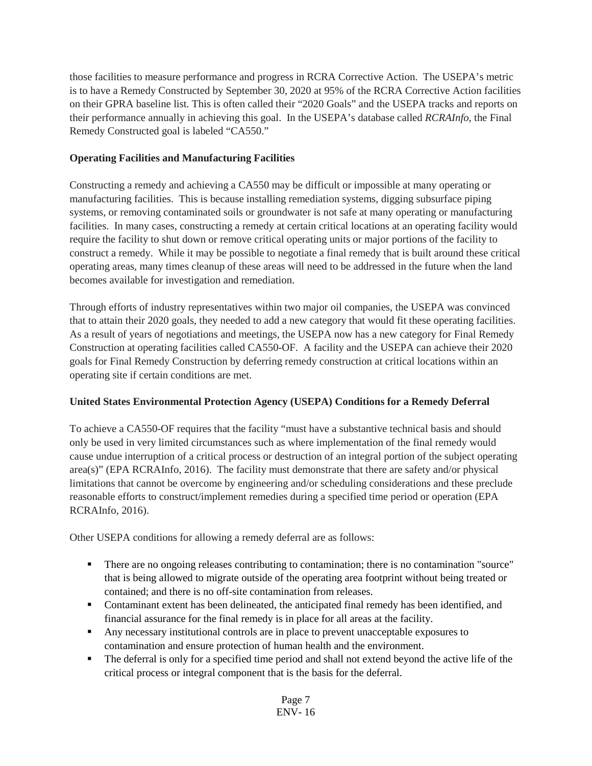those facilities to measure performance and progress in RCRA Corrective Action. The USEPA's metric is to have a Remedy Constructed by September 30, 2020 at 95% of the RCRA Corrective Action facilities on their GPRA baseline list. This is often called their "2020 Goals" and the USEPA tracks and reports on their performance annually in achieving this goal. In the USEPA's database called *RCRAInfo*, the Final Remedy Constructed goal is labeled "CA550."

# **Operating Facilities and Manufacturing Facilities**

Constructing a remedy and achieving a CA550 may be difficult or impossible at many operating or manufacturing facilities. This is because installing remediation systems, digging subsurface piping systems, or removing contaminated soils or groundwater is not safe at many operating or manufacturing facilities. In many cases, constructing a remedy at certain critical locations at an operating facility would require the facility to shut down or remove critical operating units or major portions of the facility to construct a remedy. While it may be possible to negotiate a final remedy that is built around these critical operating areas, many times cleanup of these areas will need to be addressed in the future when the land becomes available for investigation and remediation.

Through efforts of industry representatives within two major oil companies, the USEPA was convinced that to attain their 2020 goals, they needed to add a new category that would fit these operating facilities. As a result of years of negotiations and meetings, the USEPA now has a new category for Final Remedy Construction at operating facilities called CA550-OF. A facility and the USEPA can achieve their 2020 goals for Final Remedy Construction by deferring remedy construction at critical locations within an operating site if certain conditions are met.

# **United States Environmental Protection Agency (USEPA) Conditions for a Remedy Deferral**

To achieve a CA550-OF requires that the facility "must have a substantive technical basis and should only be used in very limited circumstances such as where implementation of the final remedy would cause undue interruption of a critical process or destruction of an integral portion of the subject operating area(s)" (EPA RCRAInfo, 2016). The facility must demonstrate that there are safety and/or physical limitations that cannot be overcome by engineering and/or scheduling considerations and these preclude reasonable efforts to construct/implement remedies during a specified time period or operation (EPA RCRAInfo, 2016).

Other USEPA conditions for allowing a remedy deferral are as follows:

- There are no ongoing releases contributing to contamination; there is no contamination "source" that is being allowed to migrate outside of the operating area footprint without being treated or contained; and there is no off-site contamination from releases.
- Contaminant extent has been delineated, the anticipated final remedy has been identified, and financial assurance for the final remedy is in place for all areas at the facility.
- Any necessary institutional controls are in place to prevent unacceptable exposures to contamination and ensure protection of human health and the environment.
- The deferral is only for a specified time period and shall not extend beyond the active life of the critical process or integral component that is the basis for the deferral.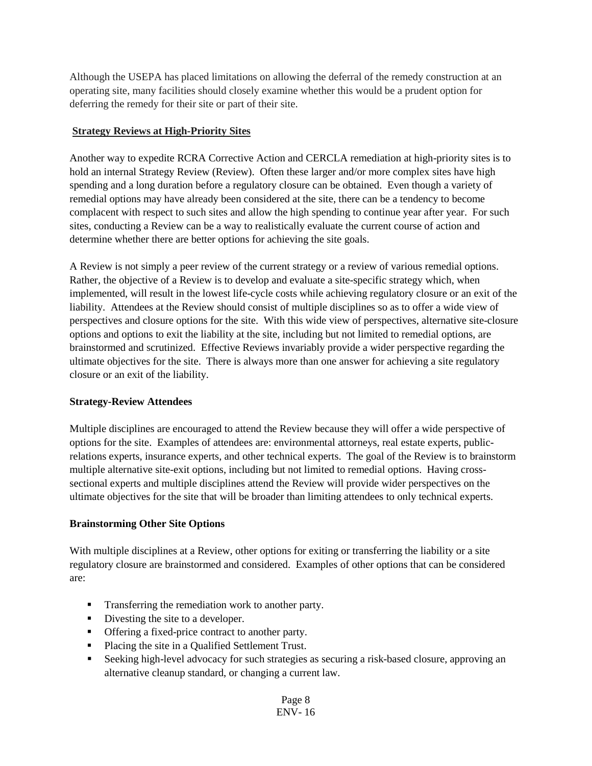Although the USEPA has placed limitations on allowing the deferral of the remedy construction at an operating site, many facilities should closely examine whether this would be a prudent option for deferring the remedy for their site or part of their site.

#### **Strategy Reviews at High-Priority Sites**

Another way to expedite RCRA Corrective Action and CERCLA remediation at high-priority sites is to hold an internal Strategy Review (Review). Often these larger and/or more complex sites have high spending and a long duration before a regulatory closure can be obtained. Even though a variety of remedial options may have already been considered at the site, there can be a tendency to become complacent with respect to such sites and allow the high spending to continue year after year. For such sites, conducting a Review can be a way to realistically evaluate the current course of action and determine whether there are better options for achieving the site goals.

A Review is not simply a peer review of the current strategy or a review of various remedial options. Rather, the objective of a Review is to develop and evaluate a site-specific strategy which, when implemented, will result in the lowest life-cycle costs while achieving regulatory closure or an exit of the liability. Attendees at the Review should consist of multiple disciplines so as to offer a wide view of perspectives and closure options for the site. With this wide view of perspectives, alternative site-closure options and options to exit the liability at the site, including but not limited to remedial options, are brainstormed and scrutinized. Effective Reviews invariably provide a wider perspective regarding the ultimate objectives for the site. There is always more than one answer for achieving a site regulatory closure or an exit of the liability.

## **Strategy-Review Attendees**

Multiple disciplines are encouraged to attend the Review because they will offer a wide perspective of options for the site. Examples of attendees are: environmental attorneys, real estate experts, publicrelations experts, insurance experts, and other technical experts. The goal of the Review is to brainstorm multiple alternative site-exit options, including but not limited to remedial options. Having crosssectional experts and multiple disciplines attend the Review will provide wider perspectives on the ultimate objectives for the site that will be broader than limiting attendees to only technical experts.

## **Brainstorming Other Site Options**

With multiple disciplines at a Review, other options for exiting or transferring the liability or a site regulatory closure are brainstormed and considered. Examples of other options that can be considered are:

- **Transferring the remediation work to another party.**
- Divesting the site to a developer.
- **•** Offering a fixed-price contract to another party.
- Placing the site in a Qualified Settlement Trust.
- Seeking high-level advocacy for such strategies as securing a risk-based closure, approving an alternative cleanup standard, or changing a current law.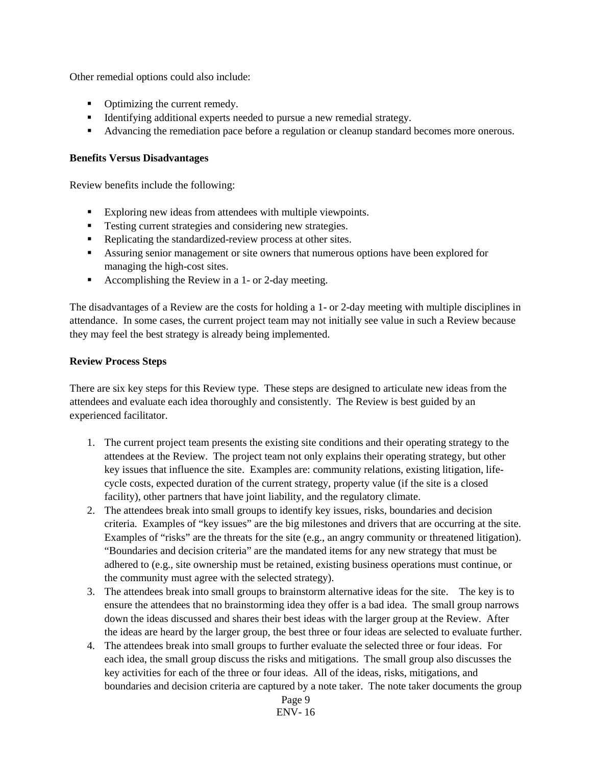Other remedial options could also include:

- Optimizing the current remedy.
- Identifying additional experts needed to pursue a new remedial strategy.
- Advancing the remediation pace before a regulation or cleanup standard becomes more onerous.

#### **Benefits Versus Disadvantages**

Review benefits include the following:

- Exploring new ideas from attendees with multiple viewpoints.
- Testing current strategies and considering new strategies.
- Replicating the standardized-review process at other sites.
- Assuring senior management or site owners that numerous options have been explored for managing the high-cost sites.
- Accomplishing the Review in a 1- or 2-day meeting.

The disadvantages of a Review are the costs for holding a 1- or 2-day meeting with multiple disciplines in attendance. In some cases, the current project team may not initially see value in such a Review because they may feel the best strategy is already being implemented.

#### **Review Process Steps**

There are six key steps for this Review type. These steps are designed to articulate new ideas from the attendees and evaluate each idea thoroughly and consistently. The Review is best guided by an experienced facilitator.

- 1. The current project team presents the existing site conditions and their operating strategy to the attendees at the Review. The project team not only explains their operating strategy, but other key issues that influence the site. Examples are: community relations, existing litigation, lifecycle costs, expected duration of the current strategy, property value (if the site is a closed facility), other partners that have joint liability, and the regulatory climate.
- 2. The attendees break into small groups to identify key issues, risks, boundaries and decision criteria. Examples of "key issues" are the big milestones and drivers that are occurring at the site. Examples of "risks" are the threats for the site (e.g., an angry community or threatened litigation). "Boundaries and decision criteria" are the mandated items for any new strategy that must be adhered to (e.g., site ownership must be retained, existing business operations must continue, or the community must agree with the selected strategy).
- 3. The attendees break into small groups to brainstorm alternative ideas for the site. The key is to ensure the attendees that no brainstorming idea they offer is a bad idea. The small group narrows down the ideas discussed and shares their best ideas with the larger group at the Review. After the ideas are heard by the larger group, the best three or four ideas are selected to evaluate further.
- 4. The attendees break into small groups to further evaluate the selected three or four ideas. For each idea, the small group discuss the risks and mitigations. The small group also discusses the key activities for each of the three or four ideas. All of the ideas, risks, mitigations, and boundaries and decision criteria are captured by a note taker. The note taker documents the group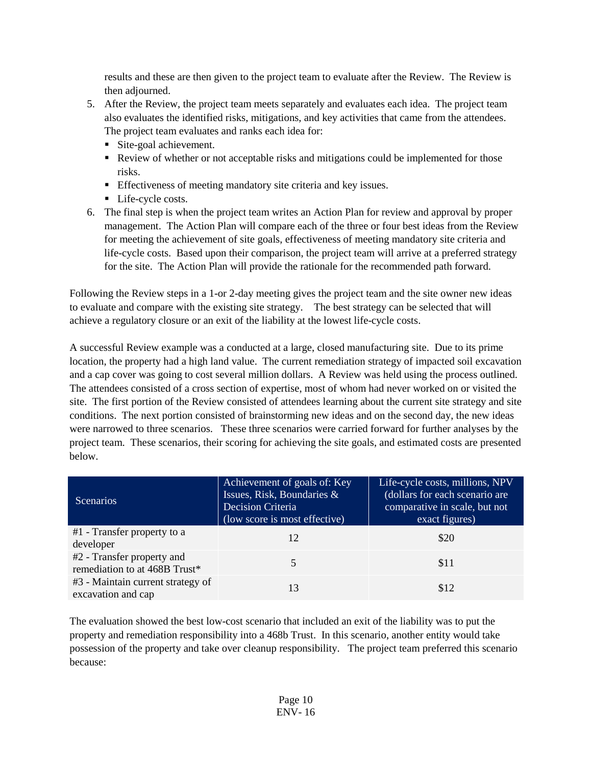results and these are then given to the project team to evaluate after the Review. The Review is then adjourned.

- 5. After the Review, the project team meets separately and evaluates each idea. The project team also evaluates the identified risks, mitigations, and key activities that came from the attendees. The project team evaluates and ranks each idea for:
	- Site-goal achievement.
	- Review of whether or not acceptable risks and mitigations could be implemented for those risks.
	- Effectiveness of meeting mandatory site criteria and key issues.
	- **Life-cycle costs.**
- 6. The final step is when the project team writes an Action Plan for review and approval by proper management. The Action Plan will compare each of the three or four best ideas from the Review for meeting the achievement of site goals, effectiveness of meeting mandatory site criteria and life-cycle costs. Based upon their comparison, the project team will arrive at a preferred strategy for the site. The Action Plan will provide the rationale for the recommended path forward.

Following the Review steps in a 1-or 2-day meeting gives the project team and the site owner new ideas to evaluate and compare with the existing site strategy. The best strategy can be selected that will achieve a regulatory closure or an exit of the liability at the lowest life-cycle costs.

A successful Review example was a conducted at a large, closed manufacturing site. Due to its prime location, the property had a high land value. The current remediation strategy of impacted soil excavation and a cap cover was going to cost several million dollars. A Review was held using the process outlined. The attendees consisted of a cross section of expertise, most of whom had never worked on or visited the site. The first portion of the Review consisted of attendees learning about the current site strategy and site conditions. The next portion consisted of brainstorming new ideas and on the second day, the new ideas were narrowed to three scenarios. These three scenarios were carried forward for further analyses by the project team. These scenarios, their scoring for achieving the site goals, and estimated costs are presented below.

| <b>Scenarios</b>                                            | Achievement of goals of: Key<br>Issues, Risk, Boundaries &<br>Decision Criteria<br>(low score is most effective) | Life-cycle costs, millions, NPV<br>(dollars for each scenario are<br>comparative in scale, but not<br>exact figures) |
|-------------------------------------------------------------|------------------------------------------------------------------------------------------------------------------|----------------------------------------------------------------------------------------------------------------------|
| #1 - Transfer property to a<br>developer                    | 12                                                                                                               | \$20                                                                                                                 |
| #2 - Transfer property and<br>remediation to at 468B Trust* |                                                                                                                  | \$11                                                                                                                 |
| #3 - Maintain current strategy of<br>excavation and cap     | 13                                                                                                               | \$12                                                                                                                 |

The evaluation showed the best low-cost scenario that included an exit of the liability was to put the property and remediation responsibility into a 468b Trust. In this scenario, another entity would take possession of the property and take over cleanup responsibility. The project team preferred this scenario because: